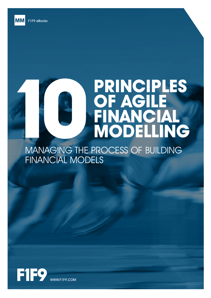**MM** 

# **PRINCIPLES OF AGILE FINANCIAL MODELLING**

MANAGING THE PROCESS OF BUILDING FINANCIAL MODELS

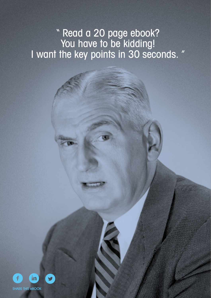# " Read a 20 page ebook? You have to be kidding! I want the key points in 30 seconds. "

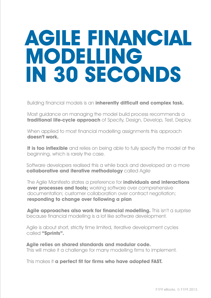# **AGILE FINANCIAL MODELLING IN 30 SECONDS**

Building financial models is an **inherently difficult and complex task.**

Most guidance on managing the model build process recommends a **traditional life-cycle approach** of Specify, Design, Develop, Test, Deploy.

When applied to most financial modelling assignments this approach **doesn't work.**

**It is too inflexible** and relies on being able to fully specify the model at the beginning, which is rarely the case.

Software developers realised this a while back and developed an a more **collaborative and iterative methodology** called Agile

The Agile Manifesto states a preference for **individuals and interactions over processes and tools:** working software over comprehensive documentation; customer collaboration over contract negotiation; **responding to change over following a plan**

**Agile approaches also work for financial modelling.** This isn't a surprise because financial modelling is a lot like software development.

Agile is about short, strictly time limited, iterative development cycles called **"Sprints".**

**Agile relies on shared standards and modular code.**  This will make it a challenge for many modelling firms to implement.

This makes it **a perfect fit for firms who have adopted FAST.**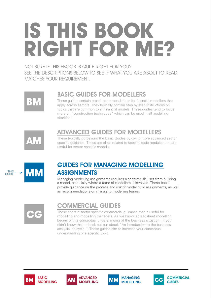# **IS THIS BOOK RIGHT FOR ME?**

NOT SURE IF THIS EBOOK IS QUITE RIGHT FOR YOU? SEE THE DESCRIPTIONS BELOW TO SEE IF WHAT YOU ARE ABOUT TO READ MATCHES YOUR REQUIREMENT.



## BASIC GUIDES FOR MODELLERS

These guides contain broad recommendations for financial modellers that apply across sectors. They typically contain step by step instructions on topics that are common to all financial models. These guides tend to focus more on "construction techniques" which can be used in all modelling situations.



# ADVANCED GUIDES FOR MODELLERS

These typically go beyond the Basic Guides by giving more advanced sector specific guidance. These are often related to specific code modules that are useful for sector specific models.



## GUIDES FOR MANAGING MODELLING **ASSIGNMENTS**

Managing modelling assignments requires a separate skill set from building a model, especially where a team of modellers is involved. These books provide guidance on the process and risk of model build assignments, as well as recommendations on managing modelling teams.



## COMMERCIAL GUIDES

These contain sector specific commercial guidance that is useful for modelling and modelling managers. As we know, spreadsheet modelling begins with a conceptual understanding of the business situation. (If you didn't know that – check out our ebook "An introduction to the business analysis life-cycle.") These guides aim to increase your conceptual understanding of a specific topic.









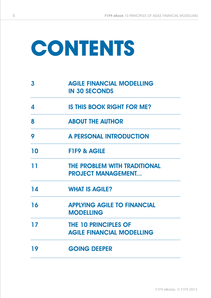# **Contents**

| 3             | <b>AGILE FINANCIAL MODELLING</b><br><b>IN 30 SECONDS</b>         |
|---------------|------------------------------------------------------------------|
| 4             | <b>IS THIS BOOK RIGHT FOR ME?</b>                                |
| 8             | <b>ABOUT THE AUTHOR</b>                                          |
| 9             | <b>A PERSONAL INTRODUCTION</b>                                   |
| 10            | <b>FIF9 &amp; AGILE</b>                                          |
| 11            | <b>THE PROBLEM WITH TRADITIONAL</b><br><b>PROJECT MANAGEMENT</b> |
| $\mathbf{14}$ | <b>WHAT IS AGILE?</b>                                            |
| 16            | <b>APPLYING AGILE TO FINANCIAL</b><br><b>MODELLING</b>           |
| 17            | <b>THE 10 PRINCIPLES OF</b><br><b>AGILE FINANCIAL MODELLING</b>  |
| 19            | <b>GOING DEEPER</b>                                              |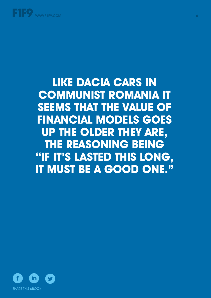**like Dacia cars in Communist Romania it seems that the value of financial models goes up the older they are, the reasoning being "If it's lasted this long, it must be a good one."** 

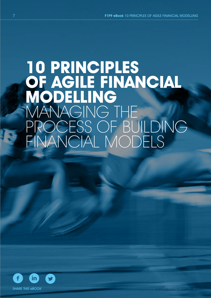# **10 PRINCIPLES OF AGILE FINANCIAL MODELLING** MANAGING THE PROCESS OF BUILDING FINANCIAL MODELS

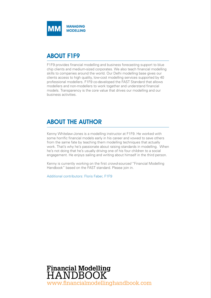

### ABOUT F1F9

F1F9 provides financial modelling and business forecasting support to blue chip clients and medium-sized corporates. We also teach financial modelling skills to companies around the world. Our Delhi modelling base gives our clients access to high quality, low-cost modelling services supported by 40 professional modellers. F1F9 co-developed the FAST Standard that allows modellers and non-modellers to work together and understand financial models. Transparency is the core value that drives our modelling and our business activities.

### ABOUT THE AUTHOR

Kenny Whitelaw-Jones is a modelling instructor at F1F9. He worked with some horrific financial models early in his career and vowed to save others from the same fate by teaching them modelling techniques that actually work. That's why he's passionate about raising standards in modelling. When he's not doing that he's usually driving one of his four children to a social engagement. He enjoys sailing and writing about himself in the third person.

Kenny is currently working on the first *crowd-sourced* "Financial Modelling Handbook" based on the FAST standard. Please join in.

Additional contributors: Floris Faber, F1F9

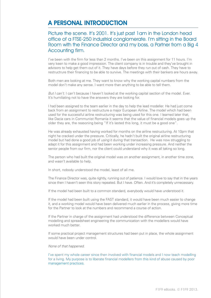### A PERSONAL INTRODUCTION

#### Picture the scene. It's 2001. It's just past 1am in the London head office of a FTSE-250 industrial conglomerate. I'm sitting in the Board Room with the Finance Director and my boss, a Partner from a Big 4 Accounting firm.

I've been with the firm for less than 2 months. I've been on this assignment for 11 hours. I'm very keen to make a good impression. The client company is in trouble and they've brought in advisors to help get them out of it. They have days before they run out of cash. They have to restructrure their financing to be able to survive. The meetings with their bankers are hours away.

Both men are looking at me. They want to know why the working capital numbers from the model don't make any sense. I want more than anything to be able to tell them.

*But I can't.* I can't because I haven't looked at the working capital section of the model. Ever. It's humiliating not to have the answers they are looking for.

I had been assigned to the team earlier in the day to help the lead modeller. He had just come back from an assignment to restructure a major European Airline. The model which had been used for the successful airline restructuring was being used for this one. I learned later that, like Dacia cars in Communist Romania it seems that the value of financial models goes up the older they are, the reasoning being "If it's lasted this long, it must be a good one".

He was already exhausted having worked for months on the airline restructuring. At 10pm that night he cracked under the pressure. Critically, he hadn't built the original airline restructuring model but had done a good job of *using* it during that transaction. He was now struggling to adapt it for this assignment and had been working under increasing pressure. And neither the senior people from our firm, nor the client could understand why it was all taking so long.

The person who had built the original model was on another assignment, in another time zone, and wasn't available to help.

In short, nobody understood the model, least of all me.

The Finance Director was, quite rightly, running out of patience. I would love to say that in the years since then I haven't seen this story repeated. But I have. Often. And it's completely unnecessary.

If the model had been built to a common standard, everybody would have understood it.

If the model had been built using the FAST standard, it would have been much easier to change it, and a working model would have been delivered much earlier in the process, giving more time for the Partner to look at the numbers and recommend a course of action.

If the Partner in charge of the assignment had understood the difference between Conceptual modelling and spreadsheet engineering the communication with the modellers would have worked much better.

If some practical project management structures had been put in place, the whole assignment would have been under control.

#### *None of that happened.*

I've spent my whole career since then involved with financial models and I now teach modelling for a living. My purpose is to liberate financial modellers from this kind of abuse caused by poor management practices.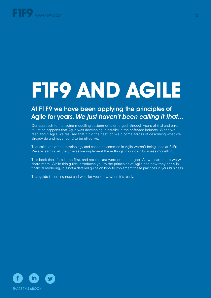# **F1F9 AND Agile**

## At F1F9 we have been applying the principles of Agile for years. We just haven't been calling it that...

Our approach to managing modelling assignments emerged through years of trial and error. It just so happens that Agile was developing in parallel in the software industry. When we read about Agile we realised that it did the best job we'd come across of describing what we already do and have found to be effective.

That said, lots of the terminology and concepts common in Agile weren't being used at F1F9. We are learning all the time as we implement these things in our own business modelling.

This book therefore is the first, and not the last word on the subject. As we learn more we will share more. While this guide introduces you to the principles of Agile and how they apply in financial modelling, it is not a detailed guide on how to implement these practices in your business.

That quide is coming next and we'll let you know when it's ready.

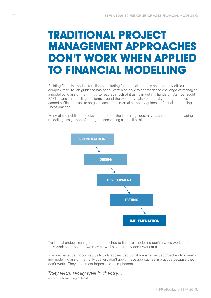# **Traditional project management approaches don't work when applied to financial modelling**

Building financial models for clients, including "internal clients", is an inherently difficult and complex task. Much guidance has been written on how to approach the challenge of managing a model build assignment. I try to read as much of it as I can get my hands on. As I've taught FAST financial modelling to clients around the world, I've also been lucky enough to have earned sufficient trust to be given access to internal company guides on financial modelling "best practice".

Many of the published books, and most of the internal guides, have a section on "managing modelling assignments" that goes something a little like this:



Traditional project management approaches to financial modelling don't always work. In fact they work so rarely that we may as well say that they don't work at all.

In my experience, nobody actually truly applies traditional management approaches to managing modelling assignments. Modellers don't apply these approaches in practice because they don't work. They are almost impossible to implement.

They work really well in theory... (which is something at least.)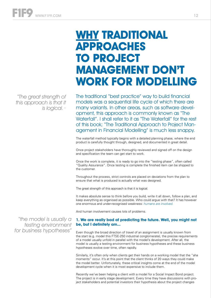"The great strength of this approach is that it is logical. "

"the model is usually a testing environment for business hypotheses"

# **Why traditional approaches to project management don't work for modelling**

The traditional "best practice" way to build financial models was a sequential life cycle of which there are many variants. In other areas, such as software development, this approach is commonly known as "The Waterfall". I shall refer to it as "The Waterfall" for the rest of this book; "The Traditional Approach to Project Management in Financial Modelling" is much less snappy.

The waterfall method typically begins with a detailed planning phase, where the end product is carefully thought through, designed, and documented in great detail.

Once project stakeholders have thoroughly reviewed and signed off on the design and specification the team can get start to work.

Once the work is complete, it is ready to go into the "testing phase", often called "Quality Assurance". Once testing is complete the finished item can be shipped to the customer.

Throughout the process, strict controls are placed on deviations from the plan to ensure that what is produced is actually what was designed.

The great strength of this approach is that it is logical.

It makes absolute sense to think before you build, write it all down, follow a plan, and keep everything as organised as possible. Who could argue with that? It has however one enormous and under-recognised weakness: *humans are involved.* 

And human involvement causes lots of problems.

#### **1. We are really bad at predicting the future. Well, you might not be, but I definitely am...**

Even though the broad direction of travel of an assignment is usually known from the start (e.g. model this FTSE-250 industrial conglomerate), the precise requirements of a model usually unfold in parallel with the model's development. After all, the model is usually a testing environment for business hypotheses and these business hypotheses evolve over time, often rapidly.

Similarly, it's often only when clients get their hands on a working model that the "aha moments" occur. It's at this point that the client thinks of 20 ways they could make the model better. Unfortunately, these critical insights come at the end of the model development cycle when it is most expensive to include them.

Recently we've been helping a client with a model for a Social Impact Bond project. The project is in early stage development. Every time they have discussions with project stakeholders and potential investors their hypothesis about the project changes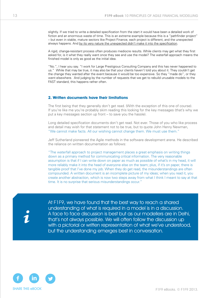slightly. If we tried to write a detailed specification from the start it would have been a detailed work of fiction and an enormous waste of time. This is an extreme example because this is a "pathfinder project" – but even in stable, mature sectors like Project Finance, each project is different, and the unexpected always happens. And by its very nature the unexpected didn't make it into the specification.

A rigid, change-resistant process often produces mediocre results. While clients may get what they first asked for, is it what they really want once they see and use the model? The waterfall approach means the finished model is only as good as the initial idea.

"No.", I hear you say. "I work for Large Prestigious Consulting Company and this has never happened to us." While that may be true, it may also be that your clients haven't told you about it. They couldn't get the change they wanted after the event because it would be too expensive. So they "made do", or they went elsewhere. And judging by the number of requests that we get to rebuild unusable models to the FAST standard, this happens rather often.

#### **2. Written documents have their limitations**

The first being that they generally don't get read. (With the exception of this one of course). If you're like me you're probably skim reading this looking for the key messages (that's why we put a key messages section up front – to save you the hassle).

Long detailed specification documents don't get read. Not ever. Those of you who like process and detail may wish for that statement not to be true, but to quote John Henry Newman, "We cannot make facts. All our wishing cannot change them. We must use them."

Jeff Sutherland pioneered the Agile methods in the software development arena. He described the reliance on written documentation as follows:

"The waterfall approach to project management places a great emphasis on writing things down as a primary method for communicating critical information. The very reasonable assumption is that if I can write down on paper as much as possible of what's in my head, it will more reliably make it into the head of everyone else on the team; plus, if it's on paper, there is tangible proof that I've done my job. When they do get read, the misunderstandings are often compounded. A written document is an incomplete picture of my ideas; when you read it, you create another abstraction, which is now two steps away from what I think I meant to say at that time. It is no surprise that serious misunderstandings occur."

ℹ

At F1F9, we have found that the best way to reach a shared understanding of what is required in a model is in a discussion. A face to face discussion is best but as our modellers are in Delhi, that's not always possible. We will often follow the discussion up with a pictorial or written representation of what we've understood, but the understanding emerges best in conversation.

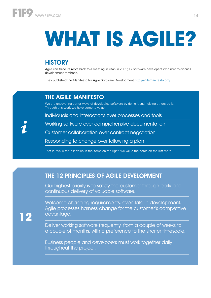# **What is Agile?**

# **HISTORY**

Agile can trace its roots back to a meeting in Utah in 2001; 17 software developers who met to discuss development methods.

They published the Manifesto for Agile Software Development<http://agilemanifesto.org/>

#### THE AGILE MANIFESTO

We are uncovering better ways of developing software by doing it and helping others do it. Through this work we have come to value:

Individuals and interactions over processes and tools

ℹ

**12**

Working software over comprehensive documentation

Customer collaboration over contract negotiation

Responding to change over following a plan

That is, while there is value in the items on the right, we value the items on the left more

### THE 12 PRINCIPLES OF AGILE DEVELOPMENT

Our highest priority is to satisfy the customer through early and continuous delivery of valuable software.

Welcome changing requirements, even late in development. Agile processes harness change for the customer's competitive advantage.

Deliver working software frequently, from a couple of weeks to a couple of months, with a preference to the shorter timescale.

Business people and developers must work together daily throughout the project.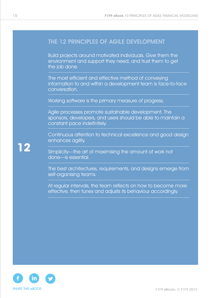#### THE 12 PRINCIPLES OF AGILE DEVELOPMENT

Build projects around motivated individuals. Give them the environment and support they need, and trust them to get the job done.

The most efficient and effective method of conveying information to and within a development team is face-to-face conversation.

Working software is the primary measure of progress.

Agile processes promote sustainable development. The sponsors, developers, and users should be able to maintain a constant pace indefinitely.

Continuous attention to technical excellence and good design enhances agility.

Simplicity—the art of maximising the amount of work not done—is essential.

The best architectures, requirements, and designs emerge from self-organising teams.

At regular intervals, the team reflects on how to become more effective, then tunes and adjusts its behaviour accordingly.



**12**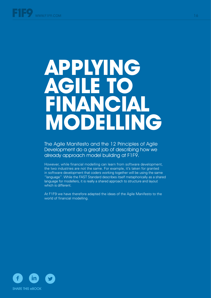# **Applying Agile to financial** LING **MODEL**

The Agile Manifesto and the 12 Principles of Agile Development do a great job of describing how we already approach model building at F1F9.

However, while financial modelling can learn from software development, the two industries are not the same. For example, it's taken for granted in software development that coders working together will be using the same "language". While the FAST Standard describes itself metaphorically as a shared language for modellers, it is really a shared approach to structure and layout which is different.

At F1F9 we have therefore adapted the ideas of the Agile Manifesto to the world of financial modelling.

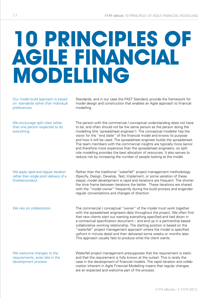# **10 principles of Agile Financial Modelling**

Our model build approach is based on standards rather than individual preferences

We encourage split roles rather than one person expected to do everything.

We apply rapid and regular iteration rather than single point delivery of a finished product.

We welcome changes to the requirements, even late in the development process.

Standards, and in our case the FAST Standard, provide the framework for model design and construction that enables an Agile approach to financial modelling.

The person with the commercial / conceptual understanding does not have to be, and often should not be the same person as the person doing the modelling (the 'spreadsheet engineer'). The conceptual modeller has the vision for the "end state" of the financial model and knows its purpose and how it will be used. The spreadsheet engineer builds the spreadsheet. The team members with the commercial insights are typically more senior and therefore more expensive than the spreadsheet engineers, so split role modelling provides the best allocation of resources. It also serves to reduce risk by increasing the number of people looking at the model.

Rather than the traditional "waterfall" project management methodology (Specify, Design, Develop, Test, Implement, or some variation of these steps), model development is rapid and iterations are frequent. The shorter the time frame between iterations the better. These iterations are shared with the "model owner" frequently during the build process and engender regular conversations and changes of direction.

We rely on collaboration The commercial / conceptual "owner" of the model must work together with the spreadsheet engineers daily throughout the project. We often find that new clients start out wanting everything specified and tied down in a contractual specification document – and end up in a partnership based collaborative working relationship. The starting position is based on the "waterfall" project management approach where the model is specified upfront in minute detail and then delivered some weeks or months later. This approach usually fails to produce what the client wants.

> Waterfall project management presupposes that the requirement is static and that the requirement is fully known at the outset. This is rarely the case in the development of financial models. The rapid iteration and collaboration inherent in Agile Financial Modelling means that regular changes are an expected and welcome part of the process.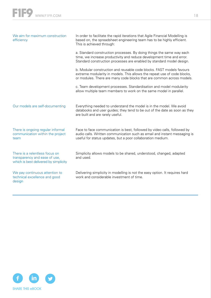| We aim for maximum construction<br>efficiency                                                            | In order to facilitate the rapid iterations that Agile Financial Modelling is<br>based on, the spreadsheet engineering team has to be highly efficient.<br>This is achieved through:                                       |
|----------------------------------------------------------------------------------------------------------|----------------------------------------------------------------------------------------------------------------------------------------------------------------------------------------------------------------------------|
|                                                                                                          | a. Standard construction processes. By doing things the same way each<br>time, we increase productivity and reduce development time and error.<br>Standard construction processes are enabled by standard model design.    |
|                                                                                                          | b. Modular construction and reusable code blocks. FAST models favours<br>extreme modularity in models. This allows the repeat use of code blocks,<br>or modules. There are many code blocks that are common across models. |
|                                                                                                          | c. Team development processes. Standardisation and model modularity<br>allow multiple team members to work on the same model in parallel.                                                                                  |
| Our models are self-documenting                                                                          | Everything needed to understand the model is in the model. We avoid<br>databooks and user guides; they tend to be out of the date as soon as they<br>are built and are rarely useful.                                      |
| There is ongoing regular informal<br>communication within the project<br>team                            | Face to face communication is best, followed by video calls, followed by<br>audio calls. Written communication such as email and instant messaging is<br>useful for status updates, but a poor collaboration medium.       |
| There is a relentless focus on<br>transparency and ease of use,<br>which is best delivered by simplicity | Simplicity allows models to be shared, understood, changed, adapted<br>and used.                                                                                                                                           |
| We pay continuous attention to<br>technical excellence and good<br>design                                | Delivering simplicity in modelling is not the easy option. It requires hard<br>work and considerable investment of time.                                                                                                   |

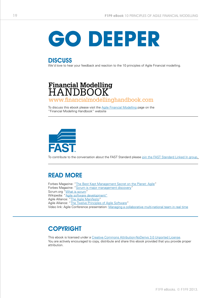

**DISCUSS** We'd love to hear your feedback and reaction to the 10 principles of Agile Financial modelling.

# **Financial Modelling<br>HANDBOOK** [www.financialmodellinghandbook.com](Http://www.financialmodellinghandbook.com)

To discuss this ebook please visit the [Agile Financial Modelling](http://www.financialmodellinghandbook.com/the-handbook/part-1-introduction/what-is-financial-modelling/agile-financial-modelling/) page on the "Financial Modelling Handbook" website



To contribute to the conversation about the FAST Standard please [join the FAST Standard Linked In group.](http://www.linkedin.com/groups/FAST-Standard-4663895) 

### READ MORE

Forbes Magazine: "[The Best Kept Management Secret on the Planet: Agile"](http://www.forbes.com/sites/stevedenning/2012/04/09/the-best-kept-management-secret-on-the-planet-agile/) Forbes Magazine: "[Scrum is major management discovery"](http://www.forbes.com/sites/stevedenning/2011/04/29/scrum-is-a-major-management-discovery/) Scrum.org ["What is scrum](http://www.scrum.org/Resources/What-is-Scrum)" Wikipedia: ["Agile software development"](http://en.wikipedia.org/wiki/Agile_software_development) Agile Alliance: "[The Agile Manifesto](http://www.agilealliance.org/the-alliance/the-agile-manifesto/)" Agile Alliance: "[The Twelve Principles of Agile Software](http://www.agilealliance.org/the-alliance/the-agile-manifesto/the-twelve-principles-of-agile-software/)" Video link: Agile Conference presentation: [Managing a collaborative multi-national team in real time](https://support.f1f9academy.com/entries/Managing%20a%20Collaborative%20Multi-National%20Team%20in%20Real%20Time%20)

#### **COPYRIGHT**

This ebook is licensed under a [Creative Commons Attribution-NoDerivs 3.0 Unported License.](http://creativecommons.org/licenses/by-nd/3.0/deed.en_US) You are actively encouraged to copy, distribute and share this ebook provided that you provide proper attribution.